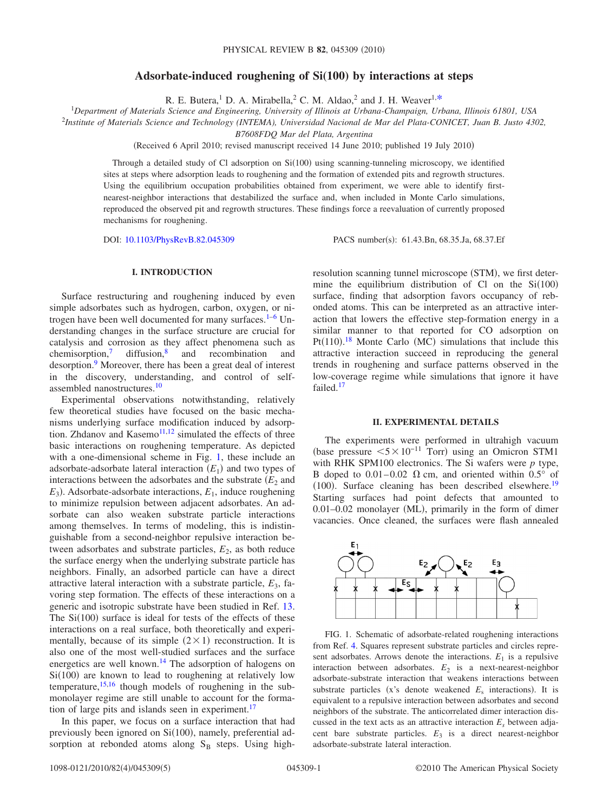# **Adsorbate-induced roughening of Si(100) by interactions at steps**

R. E. Butera,<sup>1</sup> D. A. Mirabella,<sup>2</sup> C. M. Aldao,<sup>2</sup> and J. H. Weaver<sup>1[,\\*](#page-3-0)</sup><br><sup>1</sup>Department of Materials Science and Engineering, University of Illinois at Urbana-Champaign, Urbana, Illinois 61801, USA

2 *Institute of Materials Science and Technology (INTEMA), Universidad Nacional de Mar del Plata-CONICET, Juan B. Justo 4302,*

*B7608FDQ Mar del Plata, Argentina*

(Received 6 April 2010; revised manuscript received 14 June 2010; published 19 July 2010)

Through a detailed study of Cl adsorption on Si(100) using scanning-tunneling microscopy, we identified sites at steps where adsorption leads to roughening and the formation of extended pits and regrowth structures. Using the equilibrium occupation probabilities obtained from experiment, we were able to identify firstnearest-neighbor interactions that destabilized the surface and, when included in Monte Carlo simulations, reproduced the observed pit and regrowth structures. These findings force a reevaluation of currently proposed mechanisms for roughening.

DOI: [10.1103/PhysRevB.82.045309](http://dx.doi.org/10.1103/PhysRevB.82.045309)

PACS number(s): 61.43.Bn, 68.35.Ja, 68.37.Ef

## **I. INTRODUCTION**

Surface restructuring and roughening induced by even simple adsorbates such as hydrogen, carbon, oxygen, or nitrogen have been well documented for many surfaces.<sup>1-6</sup> Understanding changes in the surface structure are crucial for catalysis and corrosion as they affect phenomena such as chemisorption,<sup>7</sup> diffusion,<sup>8</sup> and recombination and diffusion, $\frac{8}{ }$  and recombination and desorption.<sup>9</sup> Moreover, there has been a great deal of interest in the discovery, understanding, and control of selfassembled nanostructures[.10](#page-3-6)

Experimental observations notwithstanding, relatively few theoretical studies have focused on the basic mechanisms underlying surface modification induced by adsorption. Zhdanov and Kasemo $11,12$  $11,12$  simulated the effects of three basic interactions on roughening temperature. As depicted with a one-dimensional scheme in Fig. [1,](#page-0-0) these include an adsorbate-adsorbate lateral interaction  $(E_1)$  and two types of interactions between the adsorbates and the substrate  $(E_2)$  and  $E_3$ ). Adsorbate-adsorbate interactions,  $E_1$ , induce roughening to minimize repulsion between adjacent adsorbates. An adsorbate can also weaken substrate particle interactions among themselves. In terms of modeling, this is indistinguishable from a second-neighbor repulsive interaction between adsorbates and substrate particles,  $E<sub>2</sub>$ , as both reduce the surface energy when the underlying substrate particle has neighbors. Finally, an adsorbed particle can have a direct attractive lateral interaction with a substrate particle,  $E_3$ , favoring step formation. The effects of these interactions on a generic and isotropic substrate have been studied in Ref. [13.](#page-3-9) The  $Si(100)$  surface is ideal for tests of the effects of these interactions on a real surface, both theoretically and experimentally, because of its simple  $(2 \times 1)$  reconstruction. It is also one of the most well-studied surfaces and the surface energetics are well known.<sup>14</sup> The adsorption of halogens on  $Si(100)$  are known to lead to roughening at relatively low temperature, $15,16$  $15,16$  though models of roughening in the submonolayer regime are still unable to account for the formation of large pits and islands seen in experiment.<sup>17</sup>

In this paper, we focus on a surface interaction that had previously been ignored on  $Si(100)$ , namely, preferential adsorption at rebonded atoms along  $S_B$  steps. Using high-

resolution scanning tunnel microscope (STM), we first determine the equilibrium distribution of Cl on the  $Si(100)$ surface, finding that adsorption favors occupancy of rebonded atoms. This can be interpreted as an attractive interaction that lowers the effective step-formation energy in a similar manner to that reported for CO adsorption on  $Pt(110).<sup>18</sup>$  $Pt(110).<sup>18</sup>$  $Pt(110).<sup>18</sup>$  Monte Carlo (MC) simulations that include this attractive interaction succeed in reproducing the general trends in roughening and surface patterns observed in the low-coverage regime while simulations that ignore it have failed[.17](#page-4-3)

#### **II. EXPERIMENTAL DETAILS**

The experiments were performed in ultrahigh vacuum (base pressure  $5 \times 10^{-11}$  Torr) using an Omicron STM1 with RHK SPM100 electronics. The Si wafers were *p* type, B doped to  $0.01-0.02$   $\Omega$  cm, and oriented within  $0.5^{\circ}$  of  $(100)$ . Surface cleaning has been described elsewhere.<sup>19</sup> Starting surfaces had point defects that amounted to 0.01–0.02 monolayer (ML), primarily in the form of dimer vacancies. Once cleaned, the surfaces were flash annealed

<span id="page-0-0"></span>

FIG. 1. Schematic of adsorbate-related roughening interactions from Ref. [4.](#page-3-10) Squares represent substrate particles and circles represent adsorbates. Arrows denote the interactions.  $E_1$  is a repulsive interaction between adsorbates.  $E_2$  is a next-nearest-neighbor adsorbate-substrate interaction that weakens interactions between substrate particles  $(x's$  denote weakened  $E_s$  interactions). It is equivalent to a repulsive interaction between adsorbates and second neighbors of the substrate. The anticorrelated dimer interaction discussed in the text acts as an attractive interaction  $E<sub>s</sub>$  between adjacent bare substrate particles.  $E_3$  is a direct nearest-neighbor adsorbate-substrate lateral interaction.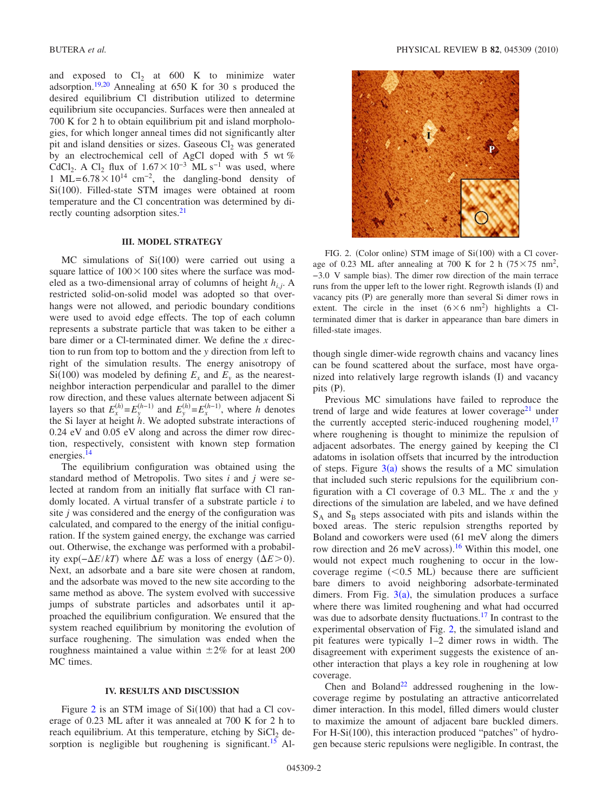and exposed to  $Cl<sub>2</sub>$  at 600 K to minimize water adsorption[.19,](#page-4-5)[20](#page-4-6) Annealing at 650 K for 30 s produced the desired equilibrium Cl distribution utilized to determine equilibrium site occupancies. Surfaces were then annealed at 700 K for 2 h to obtain equilibrium pit and island morphologies, for which longer anneal times did not significantly alter pit and island densities or sizes. Gaseous  $Cl<sub>2</sub>$  was generated by an electrochemical cell of AgCl doped with 5 wt % CdCl<sub>2</sub>. A Cl<sub>2</sub> flux of  $1.67\times10^{-3}$  ML s<sup>-1</sup> was used, where 1 ML= $6.78 \times 10^{14}$  cm<sup>-2</sup>, the dangling-bond density of Si(100). Filled-state STM images were obtained at room temperature and the Cl concentration was determined by directly counting adsorption sites.<sup>21</sup>

#### **III. MODEL STRATEGY**

 $MC$  simulations of  $Si(100)$  were carried out using a square lattice of  $100 \times 100$  sites where the surface was modeled as a two-dimensional array of columns of height *hi*,*j*. A restricted solid-on-solid model was adopted so that overhangs were not allowed, and periodic boundary conditions were used to avoid edge effects. The top of each column represents a substrate particle that was taken to be either a bare dimer or a Cl-terminated dimer. We define the *x* direction to run from top to bottom and the *y* direction from left to right of the simulation results. The energy anisotropy of  $Si(100)$  was modeled by defining  $E_x$  and  $E_y$  as the nearestneighbor interaction perpendicular and parallel to the dimer row direction, and these values alternate between adjacent Si layers so that  $E_x^{(h)} = E_y^{(h-1)}$  and  $E_y^{(h)} = E_x^{(h-1)}$ , where *h* denotes the Si layer at height *h*. We adopted substrate interactions of 0.24 eV and 0.05 eV along and across the dimer row direction, respectively, consistent with known step formation energies.<sup>14</sup>

The equilibrium configuration was obtained using the standard method of Metropolis. Two sites *i* and *j* were selected at random from an initially flat surface with Cl randomly located. A virtual transfer of a substrate particle *i* to site *j* was considered and the energy of the configuration was calculated, and compared to the energy of the initial configuration. If the system gained energy, the exchange was carried out. Otherwise, the exchange was performed with a probability exp( $-\Delta E/kT$ ) where  $\Delta E$  was a loss of energy  $(\Delta E > 0)$ . Next, an adsorbate and a bare site were chosen at random, and the adsorbate was moved to the new site according to the same method as above. The system evolved with successive jumps of substrate particles and adsorbates until it approached the equilibrium configuration. We ensured that the system reached equilibrium by monitoring the evolution of surface roughening. The simulation was ended when the roughness maintained a value within  $\pm 2\%$  for at least 200 MC times.

## **IV. RESULTS AND DISCUSSION**

Figure [2](#page-1-0) is an STM image of  $Si(100)$  that had a Cl coverage of 0.23 ML after it was annealed at 700 K for 2 h to reach equilibrium. At this temperature, etching by  $SiCl<sub>2</sub>$  desorption is negligible but roughening is significant.<sup>15</sup> Al-

<span id="page-1-0"></span>

FIG. 2. (Color online) STM image of  $Si(100)$  with a Cl coverage of 0.23 ML after annealing at 700 K for 2 h  $(75 \times 75 \text{ nm}^2,$ −3.0 V sample bias). The dimer row direction of the main terrace runs from the upper left to the lower right. Regrowth islands (I) and vacancy pits (P) are generally more than several Si dimer rows in extent. The circle in the inset  $(6 \times 6 \text{ nm}^2)$  highlights a Clterminated dimer that is darker in appearance than bare dimers in filled-state images.

though single dimer-wide regrowth chains and vacancy lines can be found scattered about the surface, most have organized into relatively large regrowth islands (I) and vacancy pits (P).

Previous MC simulations have failed to reproduce the trend of large and wide features at lower coverage<sup>21</sup> under the currently accepted steric-induced roughening model, $17$ where roughening is thought to minimize the repulsion of adjacent adsorbates. The energy gained by keeping the Cl adatoms in isolation offsets that incurred by the introduction of steps. Figure  $3(a)$  $3(a)$  shows the results of a MC simulation that included such steric repulsions for the equilibrium configuration with a Cl coverage of 0.3 ML. The *x* and the *y* directions of the simulation are labeled, and we have defined  $S_A$  and  $S_B$  steps associated with pits and islands within the boxed areas. The steric repulsion strengths reported by Boland and coworkers were used 61 meV along the dimers row direction and 26 meV across).<sup>[16](#page-4-2)</sup> Within this model, one would not expect much roughening to occur in the lowcoverage regime  $(< 0.5$  ML) because there are sufficient bare dimers to avoid neighboring adsorbate-terminated dimers. From Fig.  $3(a)$  $3(a)$ , the simulation produces a surface where there was limited roughening and what had occurred was due to adsorbate density fluctuations.<sup>17</sup> In contrast to the experimental observation of Fig. [2,](#page-1-0) the simulated island and pit features were typically 1–2 dimer rows in width. The disagreement with experiment suggests the existence of another interaction that plays a key role in roughening at low coverage.

Chen and Boland<sup>22</sup> addressed roughening in the lowcoverage regime by postulating an attractive anticorrelated dimer interaction. In this model, filled dimers would cluster to maximize the amount of adjacent bare buckled dimers. For H-Si(100), this interaction produced "patches" of hydrogen because steric repulsions were negligible. In contrast, the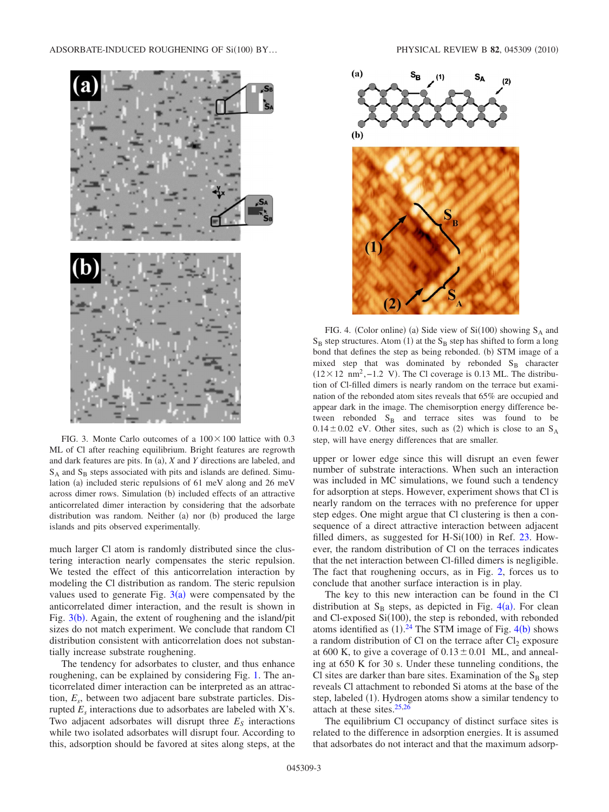<span id="page-2-0"></span>

FIG. 3. Monte Carlo outcomes of a  $100 \times 100$  lattice with 0.3 ML of Cl after reaching equilibrium. Bright features are regrowth and dark features are pits. In (a), *X* and *Y* directions are labeled, and  $S_A$  and  $S_B$  steps associated with pits and islands are defined. Simulation (a) included steric repulsions of 61 meV along and 26 meV across dimer rows. Simulation (b) included effects of an attractive anticorrelated dimer interaction by considering that the adsorbate distribution was random. Neither (a) nor (b) produced the large islands and pits observed experimentally.

much larger Cl atom is randomly distributed since the clustering interaction nearly compensates the steric repulsion. We tested the effect of this anticorrelation interaction by modeling the Cl distribution as random. The steric repulsion values used to generate Fig.  $3(a)$  $3(a)$  were compensated by the anticorrelated dimer interaction, and the result is shown in Fig.  $3(b)$  $3(b)$ . Again, the extent of roughening and the island/pit sizes do not match experiment. We conclude that random Cl distribution consistent with anticorrelation does not substantially increase substrate roughening.

The tendency for adsorbates to cluster, and thus enhance roughening, can be explained by considering Fig. [1.](#page-0-0) The anticorrelated dimer interaction can be interpreted as an attraction, *Es*, between two adjacent bare substrate particles. Disrupted *Es* interactions due to adsorbates are labeled with X's. Two adjacent adsorbates will disrupt three  $E<sub>S</sub>$  interactions while two isolated adsorbates will disrupt four. According to this, adsorption should be favored at sites along steps, at the

<span id="page-2-1"></span>

FIG. 4. (Color online) (a) Side view of  $Si(100)$  showing  $S_A$  and  $S_B$  step structures. Atom (1) at the  $S_B$  step has shifted to form a long bond that defines the step as being rebonded. (b) STM image of a mixed step that was dominated by rebonded  $S_B$  character  $(12 \times 12 \text{ nm}^2, -1.2 \text{ V})$ . The Cl coverage is 0.13 ML. The distribution of Cl-filled dimers is nearly random on the terrace but examination of the rebonded atom sites reveals that 65% are occupied and appear dark in the image. The chemisorption energy difference between rebonded  $S_B$  and terrace sites was found to be  $0.14 \pm 0.02$  eV. Other sites, such as (2) which is close to an S<sub>A</sub> step, will have energy differences that are smaller.

upper or lower edge since this will disrupt an even fewer number of substrate interactions. When such an interaction was included in MC simulations, we found such a tendency for adsorption at steps. However, experiment shows that Cl is nearly random on the terraces with no preference for upper step edges. One might argue that Cl clustering is then a consequence of a direct attractive interaction between adjacent filled dimers, as suggested for H-Si $(100)$  in Ref. [23.](#page-4-9) However, the random distribution of Cl on the terraces indicates that the net interaction between Cl-filled dimers is negligible. The fact that roughening occurs, as in Fig. [2,](#page-1-0) forces us to conclude that another surface interaction is in play.

The key to this new interaction can be found in the Cl distribution at  $S_B$  steps, as depicted in Fig. [4](#page-2-1)(a). For clean and Cl-exposed  $Si(100)$ , the step is rebonded, with rebonded atoms identified as  $(1).^{24}$  $(1).^{24}$  $(1).^{24}$  The STM image of Fig. [4](#page-2-1)(b) shows a random distribution of Cl on the terrace after  $Cl_2$  exposure at 600 K, to give a coverage of  $0.13 \pm 0.01$  ML, and annealing at 650 K for 30 s. Under these tunneling conditions, the Cl sites are darker than bare sites. Examination of the  $S_B$  step reveals Cl attachment to rebonded Si atoms at the base of the step, labeled (1). Hydrogen atoms show a similar tendency to attach at these sites. $25,26$  $25,26$ 

The equilibrium Cl occupancy of distinct surface sites is related to the difference in adsorption energies. It is assumed that adsorbates do not interact and that the maximum adsorp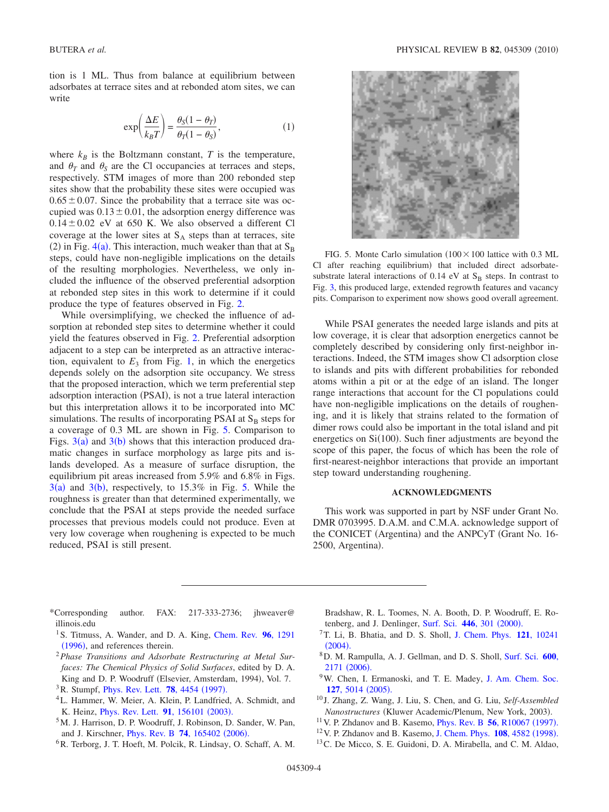tion is 1 ML. Thus from balance at equilibrium between adsorbates at terrace sites and at rebonded atom sites, we can write

$$
\exp\left(\frac{\Delta E}{k_B T}\right) = \frac{\theta_S (1 - \theta_T)}{\theta_T (1 - \theta_S)},\tag{1}
$$

where  $k_B$  is the Boltzmann constant, *T* is the temperature, and  $\theta_T$  and  $\theta_S$  are the Cl occupancies at terraces and steps, respectively. STM images of more than 200 rebonded step sites show that the probability these sites were occupied was  $0.65 \pm 0.07$ . Since the probability that a terrace site was occupied was  $0.13 \pm 0.01$ , the adsorption energy difference was  $0.14 \pm 0.02$  eV at 650 K. We also observed a different Cl coverage at the lower sites at  $S_A$  steps than at terraces, site (2) in Fig. [4](#page-2-1)(a). This interaction, much weaker than that at  $S_B$ steps, could have non-negligible implications on the details of the resulting morphologies. Nevertheless, we only included the influence of the observed preferential adsorption at rebonded step sites in this work to determine if it could produce the type of features observed in Fig. [2.](#page-1-0)

While oversimplifying, we checked the influence of adsorption at rebonded step sites to determine whether it could yield the features observed in Fig. [2.](#page-1-0) Preferential adsorption adjacent to a step can be interpreted as an attractive interaction, equivalent to  $E_3$  from Fig. [1,](#page-0-0) in which the energetics depends solely on the adsorption site occupancy. We stress that the proposed interaction, which we term preferential step adsorption interaction (PSAI), is not a true lateral interaction but this interpretation allows it to be incorporated into MC simulations. The results of incorporating PSAI at  $S_B$  steps for a coverage of 0.3 ML are shown in Fig. [5.](#page-3-11) Comparison to Figs.  $3(a)$  $3(a)$  and  $3(b)$  shows that this interaction produced dramatic changes in surface morphology as large pits and islands developed. As a measure of surface disruption, the equilibrium pit areas increased from 5.9% and 6.8% in Figs.  $3(a)$  $3(a)$  and  $3(b)$ , respectively, to 1[5.](#page-3-11)3% in Fig. 5. While the roughness is greater than that determined experimentally, we conclude that the PSAI at steps provide the needed surface processes that previous models could not produce. Even at very low coverage when roughening is expected to be much reduced, PSAI is still present.

<span id="page-3-11"></span>

FIG. 5. Monte Carlo simulation  $(100 \times 100)$  lattice with 0.3 ML Cl after reaching equilibrium) that included direct adsorbatesubstrate lateral interactions of 0.14 eV at  $S_B$  steps. In contrast to Fig. [3,](#page-2-0) this produced large, extended regrowth features and vacancy pits. Comparison to experiment now shows good overall agreement.

While PSAI generates the needed large islands and pits at low coverage, it is clear that adsorption energetics cannot be completely described by considering only first-neighbor interactions. Indeed, the STM images show Cl adsorption close to islands and pits with different probabilities for rebonded atoms within a pit or at the edge of an island. The longer range interactions that account for the Cl populations could have non-negligible implications on the details of roughening, and it is likely that strains related to the formation of dimer rows could also be important in the total island and pit energetics on  $Si(100)$ . Such finer adjustments are beyond the scope of this paper, the focus of which has been the role of first-nearest-neighbor interactions that provide an important step toward understanding roughening.

## **ACKNOWLEDGMENTS**

This work was supported in part by NSF under Grant No. DMR 0703995. D.A.M. and C.M.A. acknowledge support of the CONICET (Argentina) and the ANPCyT (Grant No. 16-2500, Argentina).

- <span id="page-3-0"></span>\*Corresponding author. FAX: 217-333-2736; jhweaver@ illinois.edu
- <span id="page-3-1"></span><sup>1</sup>S. Titmuss, A. Wander, and D. A. King, [Chem. Rev.](http://dx.doi.org/10.1021/cr950214c) **96**, 1291 ([1996](http://dx.doi.org/10.1021/cr950214c)), and references therein.
- <sup>2</sup>*Phase Transitions and Adsorbate Restructuring at Metal Surfaces: The Chemical Physics of Solid Surfaces*, edited by D. A. King and D. P. Woodruff (Elsevier, Amsterdam, 1994), Vol. 7.
- <sup>3</sup> R. Stumpf, *[Phys. Rev. Lett.](http://dx.doi.org/10.1103/PhysRevLett.78.4454)* **78**, 4454 (1997).
- <span id="page-3-10"></span>4L. Hammer, W. Meier, A. Klein, P. Landfried, A. Schmidt, and K. Heinz, *[Phys. Rev. Lett.](http://dx.doi.org/10.1103/PhysRevLett.91.156101)* **91**, 156101 (2003).
- 5M. J. Harrison, D. P. Woodruff, J. Robinson, D. Sander, W. Pan, and J. Kirschner, *[Phys. Rev. B](http://dx.doi.org/10.1103/PhysRevB.74.165402)* 74, 165402 (2006).
- <span id="page-3-2"></span>6R. Terborg, J. T. Hoeft, M. Polcik, R. Lindsay, O. Schaff, A. M.
- Bradshaw, R. L. Toomes, N. A. Booth, D. P. Woodruff, E. Ro-tenberg, and J. Denlinger, [Surf. Sci.](http://dx.doi.org/10.1016/S0039-6028(99)01159-0) 446, 301 (2000).
- <span id="page-3-3"></span>7T. Li, B. Bhatia, and D. S. Sholl, [J. Chem. Phys.](http://dx.doi.org/10.1063/1.1808424) **121**, 10241  $(2004).$  $(2004).$  $(2004).$
- <span id="page-3-4"></span>8D. M. Rampulla, A. J. Gellman, and D. S. Sholl, [Surf. Sci.](http://dx.doi.org/10.1016/j.susc.2006.03.006) **600**, [2171](http://dx.doi.org/10.1016/j.susc.2006.03.006) (2006).
- <span id="page-3-5"></span><sup>9</sup>W. Chen, I. Ermanoski, and T. E. Madey, [J. Am. Chem. Soc.](http://dx.doi.org/10.1021/ja042617c) **127**[, 5014](http://dx.doi.org/10.1021/ja042617c) (2005).
- <span id="page-3-6"></span><sup>10</sup> J. Zhang, Z. Wang, J. Liu, S. Chen, and G. Liu, *Self-Assembled Nanostructures* (Kluwer Academic/Plenum, New York, 2003).
- <span id="page-3-7"></span><sup>11</sup> V. P. Zhdanov and B. Kasemo, *[Phys. Rev. B](http://dx.doi.org/10.1103/PhysRevB.56.R10067)* **56**, *R*10067 (1997).
- <span id="page-3-8"></span><sup>12</sup> V. P. Zhdanov and B. Kasemo, [J. Chem. Phys.](http://dx.doi.org/10.1063/1.476504) **108**, 4582 (1998).
- <span id="page-3-9"></span><sup>13</sup>C. De Micco, S. E. Guidoni, D. A. Mirabella, and C. M. Aldao,